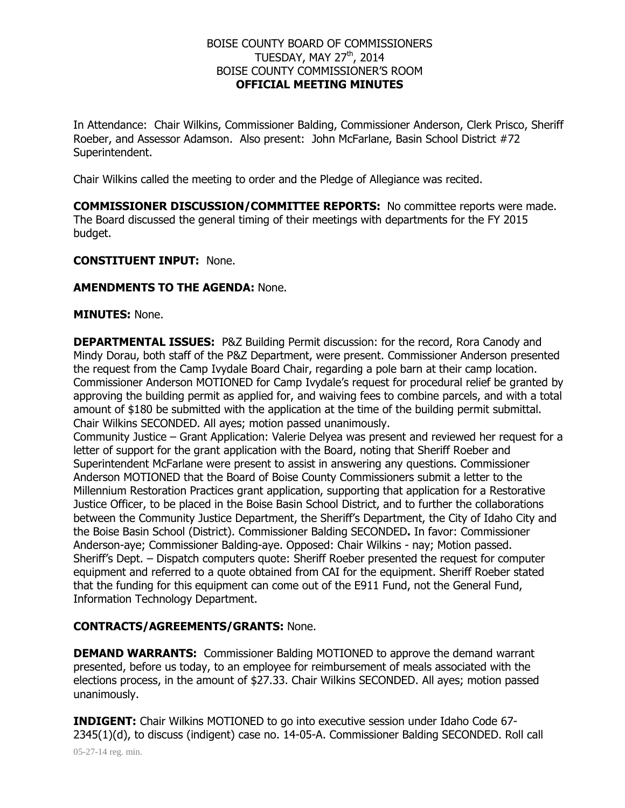# BOISE COUNTY BOARD OF COMMISSIONERS TUESDAY, MAY 27<sup>th</sup>, 2014 BOISE COUNTY COMMISSIONER'S ROOM **OFFICIAL MEETING MINUTES**

In Attendance: Chair Wilkins, Commissioner Balding, Commissioner Anderson, Clerk Prisco, Sheriff Roeber, and Assessor Adamson. Also present: John McFarlane, Basin School District #72 Superintendent.

Chair Wilkins called the meeting to order and the Pledge of Allegiance was recited.

**COMMISSIONER DISCUSSION/COMMITTEE REPORTS:** No committee reports were made. The Board discussed the general timing of their meetings with departments for the FY 2015 budget.

## **CONSTITUENT INPUT:** None.

## **AMENDMENTS TO THE AGENDA:** None.

#### **MINUTES:** None.

**DEPARTMENTAL ISSUES:** P&Z Building Permit discussion: for the record, Rora Canody and Mindy Dorau, both staff of the P&Z Department, were present. Commissioner Anderson presented the request from the Camp Ivydale Board Chair, regarding a pole barn at their camp location. Commissioner Anderson MOTIONED for Camp Ivydale's request for procedural relief be granted by approving the building permit as applied for, and waiving fees to combine parcels, and with a total amount of \$180 be submitted with the application at the time of the building permit submittal. Chair Wilkins SECONDED. All ayes; motion passed unanimously.

Community Justice – Grant Application: Valerie Delyea was present and reviewed her request for a letter of support for the grant application with the Board, noting that Sheriff Roeber and Superintendent McFarlane were present to assist in answering any questions. Commissioner Anderson MOTIONED that the Board of Boise County Commissioners submit a letter to the Millennium Restoration Practices grant application, supporting that application for a Restorative Justice Officer, to be placed in the Boise Basin School District, and to further the collaborations between the Community Justice Department, the Sheriff's Department, the City of Idaho City and the Boise Basin School (District). Commissioner Balding SECONDED**.** In favor: Commissioner Anderson-aye; Commissioner Balding-aye. Opposed: Chair Wilkins - nay; Motion passed. Sheriff's Dept. – Dispatch computers quote: Sheriff Roeber presented the request for computer equipment and referred to a quote obtained from CAI for the equipment. Sheriff Roeber stated that the funding for this equipment can come out of the E911 Fund, not the General Fund, Information Technology Department.

# **CONTRACTS/AGREEMENTS/GRANTS:** None.

**DEMAND WARRANTS:** Commissioner Balding MOTIONED to approve the demand warrant presented, before us today, to an employee for reimbursement of meals associated with the elections process, in the amount of \$27.33. Chair Wilkins SECONDED. All ayes; motion passed unanimously.

05-27-14 reg. min. **INDIGENT:** Chair Wilkins MOTIONED to go into executive session under Idaho Code 67- 2345(1)(d), to discuss (indigent) case no. 14-05-A. Commissioner Balding SECONDED. Roll call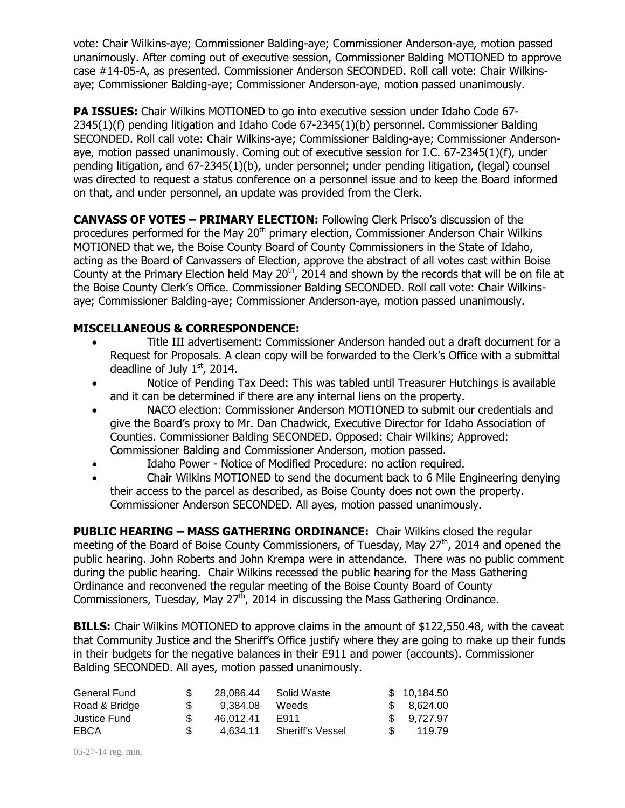vote: Chair Wilkins-aye; Commissioner Balding-aye; Commissioner Anderson-aye, motion passed unanimously. After coming out of executive session, Commissioner Balding MOTIONED to approve case #14-05-A, as presented. Commissioner Anderson SECONDED. Roll call vote: Chair Wilkinsaye; Commissioner Balding-aye; Commissioner Anderson-aye, motion passed unanimously.

**PA ISSUES:** Chair Wilkins MOTIONED to go into executive session under Idaho Code 67- 2345(1)(f) pending litigation and Idaho Code 67-2345(1)(b) personnel. Commissioner Balding SECONDED. Roll call vote: Chair Wilkins-aye; Commissioner Balding-aye; Commissioner Andersonaye, motion passed unanimously. Coming out of executive session for I.C. 67-2345(1)(f), under pending litigation, and 67-2345(1)(b), under personnel; under pending litigation, (legal) counsel was directed to request a status conference on a personnel issue and to keep the Board informed on that, and under personnel, an update was provided from the Clerk.

**CANVASS OF VOTES – PRIMARY ELECTION:** Following Clerk Prisco's discussion of the procedures performed for the May  $20<sup>th</sup>$  primary election, Commissioner Anderson Chair Wilkins MOTIONED that we, the Boise County Board of County Commissioners in the State of Idaho, acting as the Board of Canvassers of Election, approve the abstract of all votes cast within Boise County at the Primary Election held May  $20<sup>th</sup>$ , 2014 and shown by the records that will be on file at the Boise County Clerk's Office. Commissioner Balding SECONDED. Roll call vote: Chair Wilkinsaye; Commissioner Balding-aye; Commissioner Anderson-aye, motion passed unanimously.

# **MISCELLANEOUS & CORRESPONDENCE:**

- Title III advertisement: Commissioner Anderson handed out a draft document for a Request for Proposals. A clean copy will be forwarded to the Clerk's Office with a submittal deadline of July  $1<sup>st</sup>$ , 2014.
- Notice of Pending Tax Deed: This was tabled until Treasurer Hutchings is available and it can be determined if there are any internal liens on the property.
- NACO election: Commissioner Anderson MOTIONED to submit our credentials and give the Board's proxy to Mr. Dan Chadwick, Executive Director for Idaho Association of Counties. Commissioner Balding SECONDED. Opposed: Chair Wilkins; Approved: Commissioner Balding and Commissioner Anderson, motion passed.
- Idaho Power Notice of Modified Procedure: no action required.
- Chair Wilkins MOTIONED to send the document back to 6 Mile Engineering denying their access to the parcel as described, as Boise County does not own the property. Commissioner Anderson SECONDED. All ayes, motion passed unanimously.

**PUBLIC HEARING – MASS GATHERING ORDINANCE:** Chair Wilkins closed the regular meeting of the Board of Boise County Commissioners, of Tuesday, May 27<sup>th</sup>, 2014 and opened the public hearing. John Roberts and John Krempa were in attendance. There was no public comment during the public hearing. Chair Wilkins recessed the public hearing for the Mass Gathering Ordinance and reconvened the regular meeting of the Boise County Board of County Commissioners, Tuesday, May  $27<sup>th</sup>$ , 2014 in discussing the Mass Gathering Ordinance.

**BILLS:** Chair Wilkins MOTIONED to approve claims in the amount of \$122,550.48, with the caveat that Community Justice and the Sheriff's Office justify where they are going to make up their funds in their budgets for the negative balances in their E911 and power (accounts). Commissioner Balding SECONDED. All ayes, motion passed unanimously.

| General Fund  |           | 28,086,44 Solid Waste | \$10.184.50 |
|---------------|-----------|-----------------------|-------------|
| Road & Bridge | 9.384.08  | Weeds                 | \$8,624.00  |
| Justice Fund  | 46.012.41 | E911                  | \$9.727.97  |
| EBCA          | 4.634.11  | Sheriff's Vessel      | 119.79      |